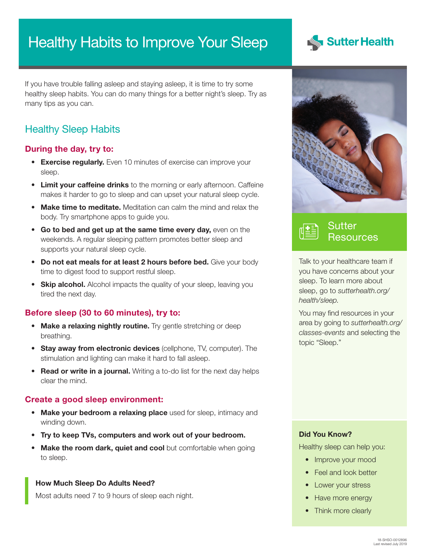# Healthy Habits to Improve Your Sleep



If you have trouble falling asleep and staying asleep, it is time to try some healthy sleep habits. You can do many things for a better night's sleep. Try as many tips as you can.

# Healthy Sleep Habits

#### During the day, try to:

- Exercise regularly. Even 10 minutes of exercise can improve your sleep.
- Limit your caffeine drinks to the morning or early afternoon. Caffeine makes it harder to go to sleep and can upset your natural sleep cycle.
- Make time to meditate. Meditation can calm the mind and relax the body. Try smartphone apps to guide you.
- Go to bed and get up at the same time every day, even on the weekends. A regular sleeping pattern promotes better sleep and supports your natural sleep cycle.
- Do not eat meals for at least 2 hours before bed. Give your body time to digest food to support restful sleep.
- Skip alcohol. Alcohol impacts the quality of your sleep, leaving you tired the next day.

### Before sleep (30 to 60 minutes), try to:

- Make a relaxing nightly routine. Try gentle stretching or deep breathing.
- Stay away from electronic devices (cellphone, TV, computer). The stimulation and lighting can make it hard to fall asleep.
- Read or write in a journal. Writing a to-do list for the next day helps clear the mind.

#### Create a good sleep environment:

- Make your bedroom a relaxing place used for sleep, intimacy and winding down.
- Try to keep TVs, computers and work out of your bedroom.
- Make the room dark, quiet and cool but comfortable when going to sleep.

#### How Much Sleep Do Adults Need?

Most adults need 7 to 9 hours of sleep each night.





Talk to your healthcare team if you have concerns about your sleep. To learn more about sleep, go to *[sutterhealth.org/](http://sutterhealth.org/health/sleep) [health/sleep](http://sutterhealth.org/health/sleep).*

You may find resources in your area by going to *[sutterhealth.org/](http://sutterhealth.org/classes-events) [classes-events](http://sutterhealth.org/classes-events)* and selecting the topic "Sleep."

#### Did You Know?

Healthy sleep can help you:

- Improve your mood
- Feel and look better
- Lower your stress
- Have more energy
- Think more clearly